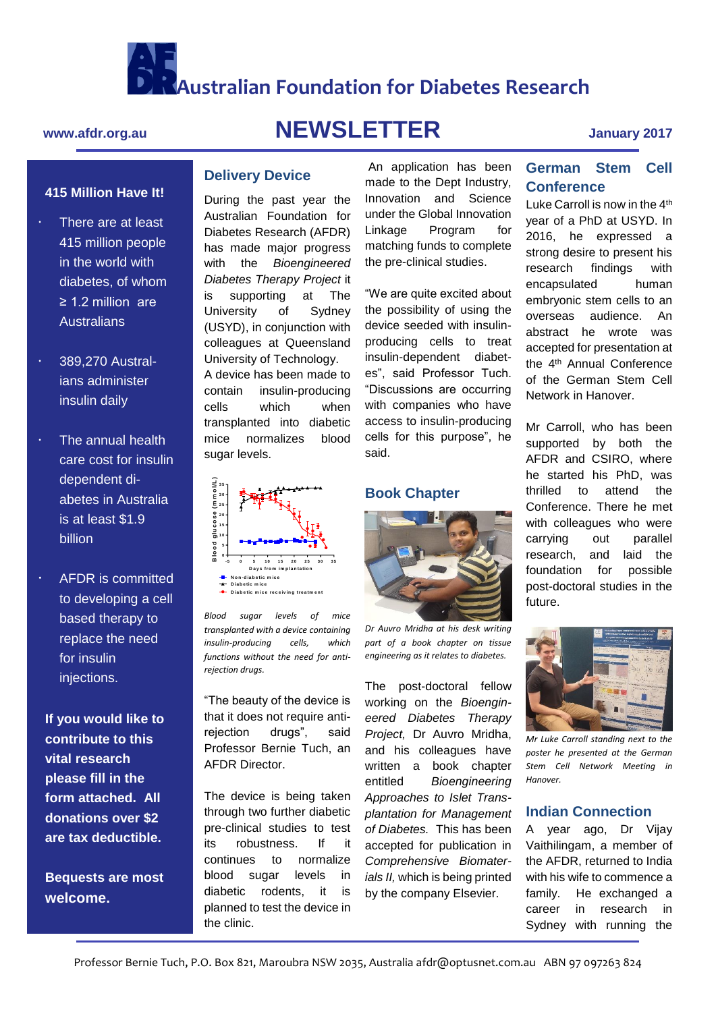

**Australian Foundation for Diabetes Research**

# **415 Million Have It!**

- There are at least 415 million people There 415 million people in the world with in the world with diabetes, of whom diabetes, of whom ≥ 1.2 million are ≥ 1.2 million are Australians Australians
- 371,605 Austral-ians administer insulin daily 389,270 Austral-
- **billion**  The annual health care cost for insulin dependent diabetes in Australia is at least \$1.9
- *cells inside microcapsules (b)* AFDR is committed to developing a cell replace the need for insulin  $\overline{\phantom{a}}$ injections. based therapy to

**If you would like to contribute to this vital research** form attached. All **contribute to this donations over \$2 vital research are tax deductible. please fill in the** 

**Bequests are most donations welcome.** 

# **www.afdr.org.au NEWSLETTER January 2017**

**Delivery Device**

sugar levels.

**N o n -d iab e tic m ic e** Diabetic mice receiving treatment

*rejection drugs.*

AFDR Director.

the clinic.

*Blood sugar levels of mice transplanted with a device containing insulin-producing cells, which functions without the need for anti-*

**-5 0 5 1 0 1 5 2 0 2 5 3 0 3 5**

"The beauty of the device is that it does not require antirejection drugs", said Professor Bernie Tuch, an

The device is being taken through two further diabetic pre-clinical studies to test its robustness. If it continues to normalize blood sugar levels in diabetic rodents, it is planned to test the device in

During the past year the Australian Foundation for Diabetes Research (AFDR) has made major progress with the *Bioengineered Diabetes Therapy Project* it is supporting at The University of Sydney (USYD), in conjunction with colleagues at Queensland University of Technology. A device has been made to contain insulin-producing cells which when transplanted into diabetic mice normalizes blood

An application has been made to the Dept Industry, Innovation and Science under the Global Innovation Linkage Program for matching funds to complete the pre-clinical studies.

"We are quite excited about the possibility of using the device seeded with insulinproducing cells to treat insulin-dependent diabetes", said Professor Tuch. "Discussions are occurring with companies who have access to insulin-producing cells for this purpose", he said.

## **Book Chapter**



*Dr Auvro Mridha at his desk writing part of a book chapter on tissue engineering as it relates to diabetes.* 

The post-doctoral fellow working on the *Bioengineered Diabetes Therapy Project,* Dr Auvro Mridha, and his colleagues have written a book chapter entitled *Bioengineering Approaches to Islet Transplantation for Management of Diabetes.* This has been accepted for publication in *Comprehensive Biomaterials II,* which is being printed by the company Elsevier.

# **German Stem Cell Conference**

Luke Carroll is now in the 4<sup>th</sup> year of a PhD at USYD. In 2016, he expressed a strong desire to present his research findings with encapsulated human embryonic stem cells to an overseas audience. An abstract he wrote was accepted for presentation at the 4th Annual Conference of the German Stem Cell Network in Hanover.

Mr Carroll, who has been supported by both the AFDR and CSIRO, where he started his PhD, was thrilled to attend the Conference. There he met with colleagues who were carrying out parallel research, and laid the foundation for possible post-doctoral studies in the future.



*Mr Luke Carroll standing next to the poster he presented at the German Stem Cell Network Meeting in Hanover.*

### **Indian Connection**

A year ago, Dr Vijay Vaithilingam, a member of the AFDR, returned to India with his wife to commence a family. He exchanged a career in research in Sydney with running the